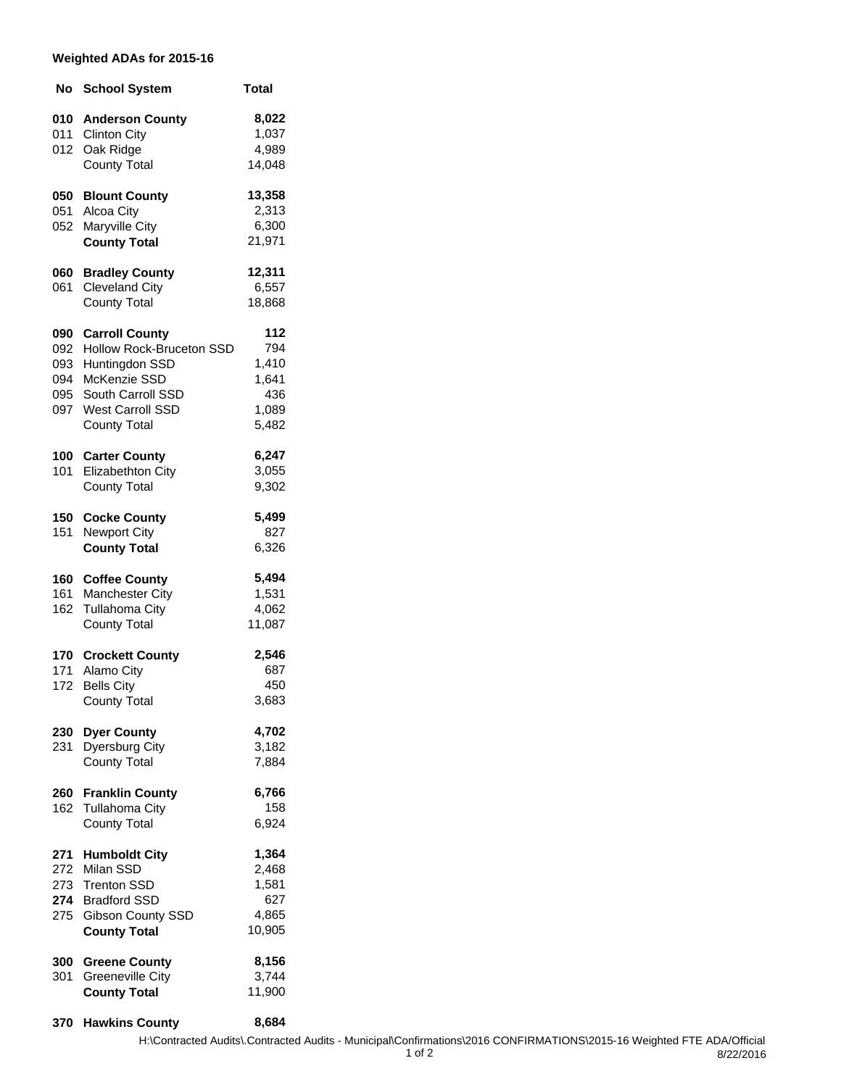## **Weighted ADAs for 2015-16**

| No                                     | <b>School System</b>                                                                                                                                       | Total                                                 |
|----------------------------------------|------------------------------------------------------------------------------------------------------------------------------------------------------------|-------------------------------------------------------|
| 010<br>011<br>012                      | <b>Anderson County</b><br><b>Clinton City</b><br>Oak Ridge<br><b>County Total</b>                                                                          | 8,022<br>1,037<br>4,989<br>14,048                     |
| 050<br>051<br>052                      | <b>Blount County</b><br>Alcoa City<br>Maryville City<br><b>County Total</b>                                                                                | 13,358<br>2,313<br>6,300<br>21,971                    |
| 060<br>061                             | <b>Bradley County</b><br><b>Cleveland City</b><br><b>County Total</b>                                                                                      | 12,311<br>6,557<br>18,868                             |
| 090<br>092<br>093<br>094<br>095<br>097 | <b>Carroll County</b><br>Hollow Rock-Bruceton SSD<br>Huntingdon SSD<br>McKenzie SSD<br>South Carroll SSD<br><b>West Carroll SSD</b><br><b>County Total</b> | 112<br>794<br>1,410<br>1,641<br>436<br>1,089<br>5,482 |
| 100<br>101                             | <b>Carter County</b><br>Elizabethton City<br><b>County Total</b>                                                                                           | 6,247<br>3,055<br>9,302                               |
| 150<br>151                             | <b>Cocke County</b><br><b>Newport City</b><br><b>County Total</b>                                                                                          | 5,499<br>827<br>6,326                                 |
| 160<br>161<br>162                      | <b>Coffee County</b><br>Manchester City<br><b>Tullahoma City</b><br><b>County Total</b>                                                                    | 5,494<br>1,531<br>4,062<br>11,087                     |
| 170<br>171<br>172                      | <b>Crockett County</b><br>Alamo City<br><b>Bells City</b><br><b>County Total</b>                                                                           | 2,546<br>687<br>450<br>3,683                          |
| 230<br>231                             | <b>Dyer County</b><br>Dyersburg City<br><b>County Total</b>                                                                                                | 4,702<br>3,182<br>7,884                               |
| 260<br>162                             | <b>Franklin County</b><br><b>Tullahoma City</b><br><b>County Total</b>                                                                                     | 6,766<br>158<br>6,924                                 |
| 271<br>272<br>273<br>275               | <b>Humboldt City</b><br>Milan SSD<br><b>Trenton SSD</b><br>274 Bradford SSD<br>Gibson County SSD<br><b>County Total</b>                                    | 1,364<br>2,468<br>1,581<br>627<br>4,865<br>10,905     |
| 300<br>301                             | <b>Greene County</b><br><b>Greeneville City</b><br><b>County Total</b>                                                                                     | 8,156<br>3,744<br>11,900                              |

**370 Hawkins County 8,684**

8/22/2016